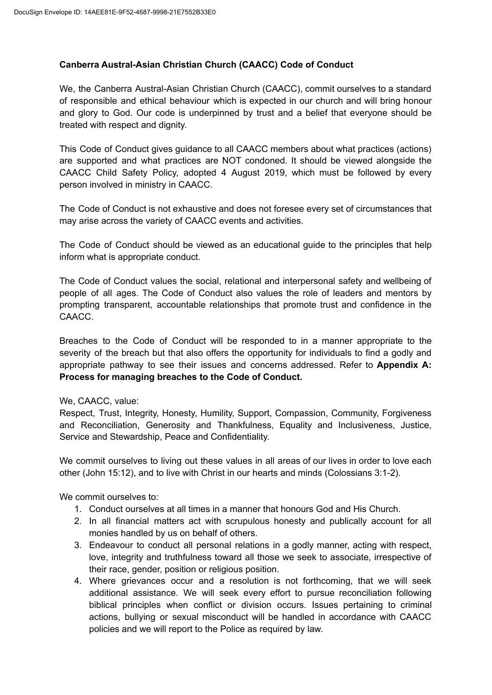### **Canberra Austral-Asian Christian Church (CAACC) Code of Conduct**

We, the Canberra Austral-Asian Christian Church (CAACC), commit ourselves to a standard of responsible and ethical behaviour which is expected in our church and will bring honour and glory to God. Our code is underpinned by trust and a belief that everyone should be treated with respect and dignity.

This Code of Conduct gives guidance to all CAACC members about what practices (actions) are supported and what practices are NOT condoned. It should be viewed alongside the CAACC Child Safety Policy, adopted 4 August 2019, which must be followed by every person involved in ministry in CAACC.

The Code of Conduct is not exhaustive and does not foresee every set of circumstances that may arise across the variety of CAACC events and activities.

The Code of Conduct should be viewed as an educational guide to the principles that help inform what is appropriate conduct.

The Code of Conduct values the social, relational and interpersonal safety and wellbeing of people of all ages. The Code of Conduct also values the role of leaders and mentors by prompting transparent, accountable relationships that promote trust and confidence in the CAACC.

Breaches to the Code of Conduct will be responded to in a manner appropriate to the severity of the breach but that also offers the opportunity for individuals to find a godly and appropriate pathway to see their issues and concerns addressed. Refer to **Appendix A: Process for managing breaches to the Code of Conduct.**

### We, CAACC, value:

Respect, Trust, Integrity, Honesty, Humility, Support, Compassion, Community, Forgiveness and Reconciliation, Generosity and Thankfulness, Equality and Inclusiveness, Justice, Service and Stewardship, Peace and Confidentiality.

We commit ourselves to living out these values in all areas of our lives in order to love each other (John 15:12), and to live with Christ in our hearts and minds (Colossians 3:1-2).

We commit ourselves to:

- 1. Conduct ourselves at all times in a manner that honours God and His Church.
- 2. In all financial matters act with scrupulous honesty and publically account for all monies handled by us on behalf of others.
- 3. Endeavour to conduct all personal relations in a godly manner, acting with respect, love, integrity and truthfulness toward all those we seek to associate, irrespective of their race, gender, position or religious position.
- 4. Where grievances occur and a resolution is not forthcoming, that we will seek additional assistance. We will seek every effort to pursue reconciliation following biblical principles when conflict or division occurs. Issues pertaining to criminal actions, bullying or sexual misconduct will be handled in accordance with CAACC policies and we will report to the Police as required by law.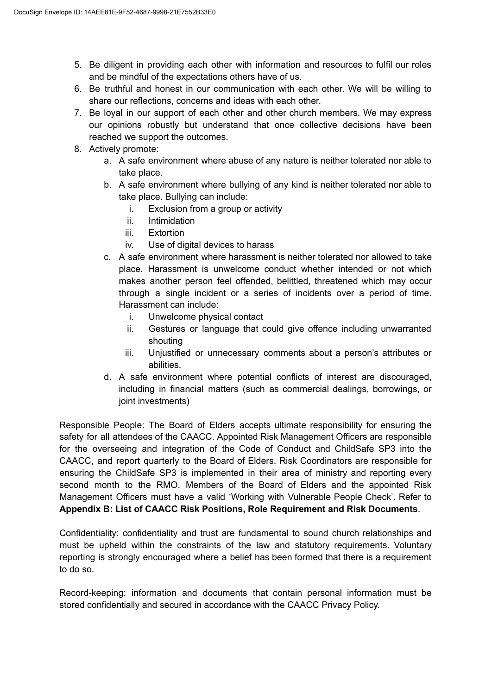- 5. Be diligent in providing each other with information and resources to fulfil our roles and be mindful of the expectations others have of us.
- 6. Be truthful and honest in our communication with each other. We will be willing to share our reflections, concerns and ideas with each other.
- 7. Be loyal in our support of each other and other church members. We may express our opinions robustly but understand that once collective decisions have been reached we support the outcomes.
- 8. Actively promote:
	- a. A safe environment where abuse of any nature is neither tolerated nor able to take place.
	- b. A safe environment where bullying of any kind is neither tolerated nor able to take place. Bullying can include:
		- i. Exclusion from a group or activity
		- ii. Intimidation
		- iii. Extortion
		- iv. Use of digital devices to harass
	- c. A safe environment where harassment is neither tolerated nor allowed to take place. Harassment is unwelcome conduct whether intended or not which makes another person feel offended, belittled, threatened which may occur through a single incident or a series of incidents over a period of time. Harassment can include:
		- i. Unwelcome physical contact
		- ii. Gestures or language that could give offence including unwarranted shouting
		- iii. Unjustified or unnecessary comments about a person's attributes or abilities.
	- d. A safe environment where potential conflicts of interest are discouraged, including in financial matters (such as commercial dealings, borrowings, or joint investments)

Responsible People: The Board of Elders accepts ultimate responsibility for ensuring the safety for all attendees of the CAACC. Appointed Risk Management Officers are responsible for the overseeing and integration of the Code of Conduct and ChildSafe SP3 into the CAACC, and report quarterly to the Board of Elders. Risk Coordinators are responsible for ensuring the ChildSafe SP3 is implemented in their area of ministry and reporting every second month to the RMO. Members of the Board of Elders and the appointed Risk Management Officers must have a valid 'Working with Vulnerable People Check'. Refer to **Appendix B: List of CAACC Risk Positions, Role Requirement and Risk Documents**.

Confidentiality: confidentiality and trust are fundamental to sound church relationships and must be upheld within the constraints of the law and statutory requirements. Voluntary reporting is strongly encouraged where a belief has been formed that there is a requirement to do so.

Record-keeping: information and documents that contain personal information must be stored confidentially and secured in accordance with the CAACC Privacy Policy.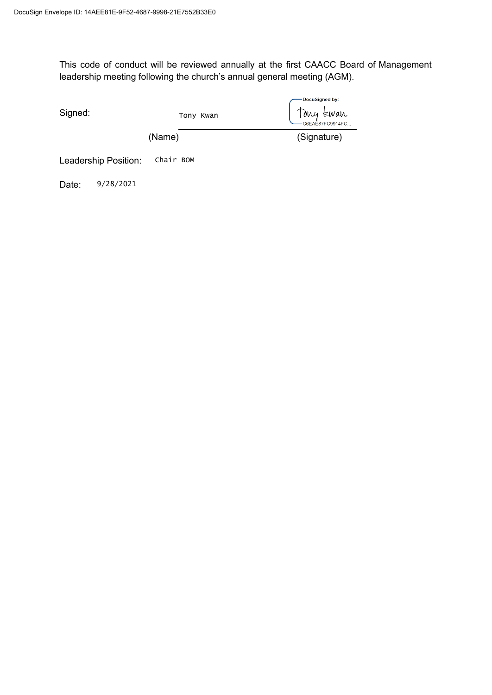This code of conduct will be reviewed annually at the first CAACC Board of Management leadership meeting following the church's annual general meeting (AGM).

| Signed:                           |           |        | Tony Kwan | DocuSigned by:<br>Tony tewan |
|-----------------------------------|-----------|--------|-----------|------------------------------|
|                                   |           | (Name) |           | (Signature)                  |
| Chair BOM<br>Leadership Position: |           |        |           |                              |
| Date:                             | 9/28/2021 |        |           |                              |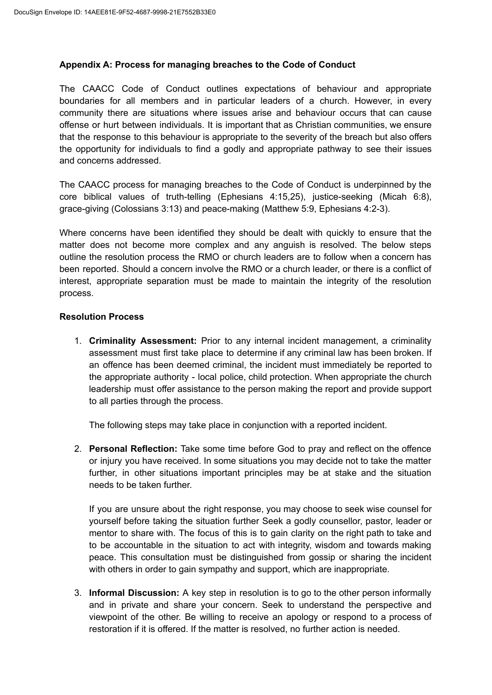### **Appendix A: Process for managing breaches to the Code of Conduct**

The CAACC Code of Conduct outlines expectations of behaviour and appropriate boundaries for all members and in particular leaders of a church. However, in every community there are situations where issues arise and behaviour occurs that can cause offense or hurt between individuals. It is important that as Christian communities, we ensure that the response to this behaviour is appropriate to the severity of the breach but also offers the opportunity for individuals to find a godly and appropriate pathway to see their issues and concerns addressed.

The CAACC process for managing breaches to the Code of Conduct is underpinned by the core biblical values of truth-telling (Ephesians 4:15,25), justice-seeking (Micah 6:8), grace-giving (Colossians 3:13) and peace-making (Matthew 5:9, Ephesians 4:2-3).

Where concerns have been identified they should be dealt with quickly to ensure that the matter does not become more complex and any anguish is resolved. The below steps outline the resolution process the RMO or church leaders are to follow when a concern has been reported. Should a concern involve the RMO or a church leader, or there is a conflict of interest, appropriate separation must be made to maintain the integrity of the resolution process.

### **Resolution Process**

1. **Criminality Assessment:** Prior to any internal incident management, a criminality assessment must first take place to determine if any criminal law has been broken. If an offence has been deemed criminal, the incident must immediately be reported to the appropriate authority - local police, child protection. When appropriate the church leadership must offer assistance to the person making the report and provide support to all parties through the process.

The following steps may take place in conjunction with a reported incident.

2. **Personal Reflection:** Take some time before God to pray and reflect on the offence or injury you have received. In some situations you may decide not to take the matter further, in other situations important principles may be at stake and the situation needs to be taken further.

If you are unsure about the right response, you may choose to seek wise counsel for yourself before taking the situation further Seek a godly counsellor, pastor, leader or mentor to share with. The focus of this is to gain clarity on the right path to take and to be accountable in the situation to act with integrity, wisdom and towards making peace. This consultation must be distinguished from gossip or sharing the incident with others in order to gain sympathy and support, which are inappropriate.

3. **Informal Discussion:** A key step in resolution is to go to the other person informally and in private and share your concern. Seek to understand the perspective and viewpoint of the other. Be willing to receive an apology or respond to a process of restoration if it is offered. If the matter is resolved, no further action is needed.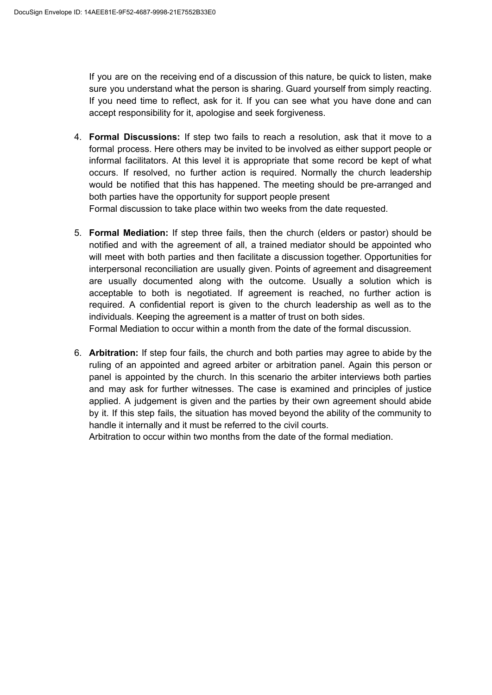If you are on the receiving end of a discussion of this nature, be quick to listen, make sure you understand what the person is sharing. Guard yourself from simply reacting. If you need time to reflect, ask for it. If you can see what you have done and can accept responsibility for it, apologise and seek forgiveness.

- 4. **Formal Discussions:** If step two fails to reach a resolution, ask that it move to a formal process. Here others may be invited to be involved as either support people or informal facilitators. At this level it is appropriate that some record be kept of what occurs. If resolved, no further action is required. Normally the church leadership would be notified that this has happened. The meeting should be pre-arranged and both parties have the opportunity for support people present Formal discussion to take place within two weeks from the date requested.
- 5. **Formal Mediation:** If step three fails, then the church (elders or pastor) should be notified and with the agreement of all, a trained mediator should be appointed who will meet with both parties and then facilitate a discussion together. Opportunities for interpersonal reconciliation are usually given. Points of agreement and disagreement are usually documented along with the outcome. Usually a solution which is acceptable to both is negotiated. If agreement is reached, no further action is required. A confidential report is given to the church leadership as well as to the individuals. Keeping the agreement is a matter of trust on both sides.

Formal Mediation to occur within a month from the date of the formal discussion.

6. **Arbitration:** If step four fails, the church and both parties may agree to abide by the ruling of an appointed and agreed arbiter or arbitration panel. Again this person or panel is appointed by the church. In this scenario the arbiter interviews both parties and may ask for further witnesses. The case is examined and principles of justice applied. A judgement is given and the parties by their own agreement should abide by it. If this step fails, the situation has moved beyond the ability of the community to handle it internally and it must be referred to the civil courts.

Arbitration to occur within two months from the date of the formal mediation.